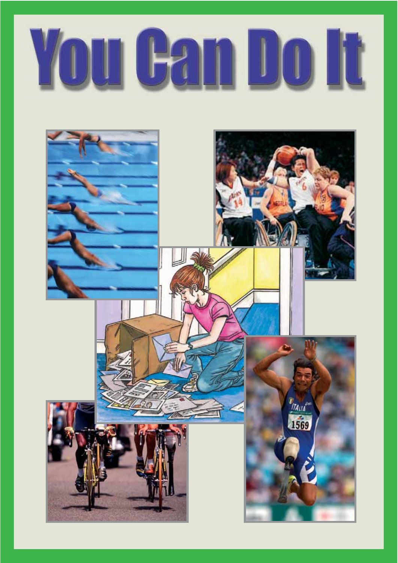

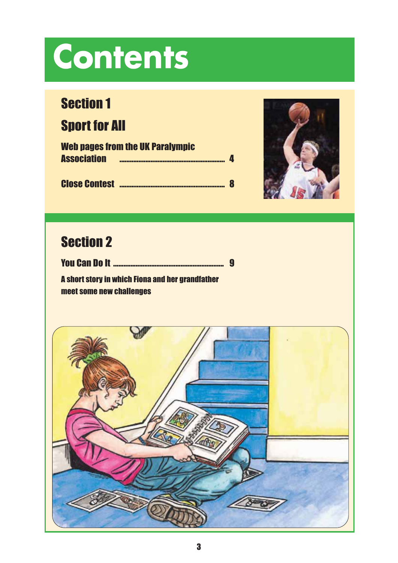

#### Section 1

#### Sport for All

|                    | <b>Web pages from the UK Paralympic</b> |  |
|--------------------|-----------------------------------------|--|
| <b>Association</b> |                                         |  |
|                    |                                         |  |





#### Section 2

|                                                  | 9 |
|--------------------------------------------------|---|
| A short story in which Fiona and her grandfather |   |

meet some new challenges

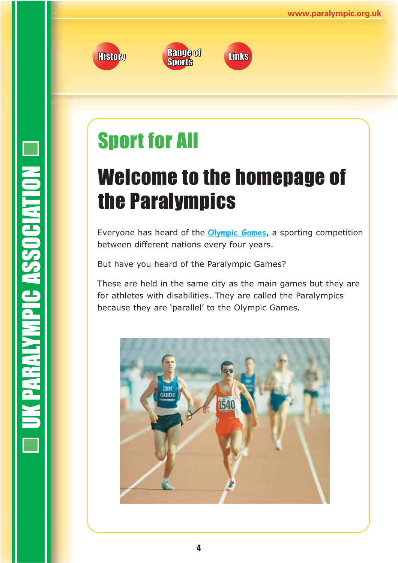

**Range of<br>Sports** 



## Sport for All

## Welcome to the homepage of the Paralympics

Everyone has heard of the **Olympic Games**, a sporting competition between different nations every four years.

But have you heard of the Paralympic Games?

These are held in the same city as the main games but they are for athletes with disabilities. They are called the Paralympics because they are 'parallel' to the Olympic Games.

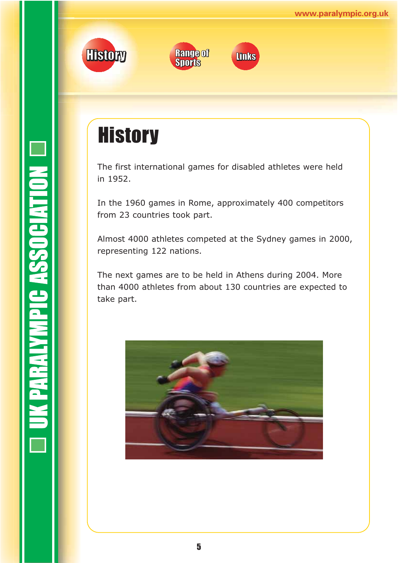



The first international games for disabled athletes were held in 1952.

**Links** 

**Range of**<br>**Sports** 

In the 1960 games in Rome, approximately 400 competitors from 23 countries took part.

Almost 4000 athletes competed at the Sydney games in 2000, representing 122 nations.

The next games are to be held in Athens during 2004. More than 4000 athletes from about 130 countries are expected to take part.

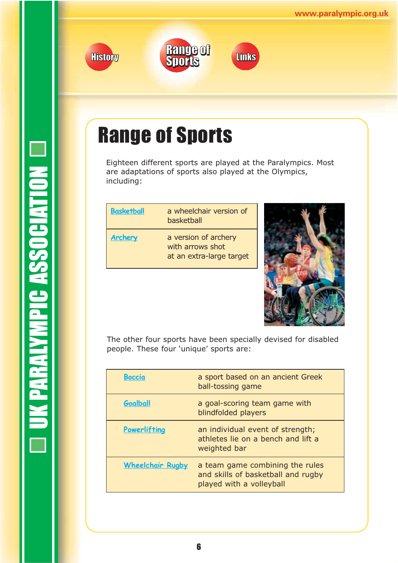**www.paralympic.org.uk**







### Range of Sports

Eighteen different sports are played at the Paralympics. Most are adaptations of sports also played at the Olympics, including:

| <b>Basketball</b> | a wheelchair version of<br>basketball                                |
|-------------------|----------------------------------------------------------------------|
| <b>Archery</b>    | a version of archery<br>with arrows shot<br>at an extra-large target |



The other four sports have been specially devised for disabled people. These four 'unique' sports are:

| <b>Boccia</b>           | a sport based on an ancient Greek<br>ball-tossing game                                            |
|-------------------------|---------------------------------------------------------------------------------------------------|
| Goalball                | a goal-scoring team game with<br>blindfolded players                                              |
| Powerlifting            | an individual event of strength;<br>athletes lie on a bench and lift a<br>weighted bar            |
| <b>Wheelchair Rugby</b> | a team game combining the rules<br>and skills of basketball and rugby<br>played with a volleyball |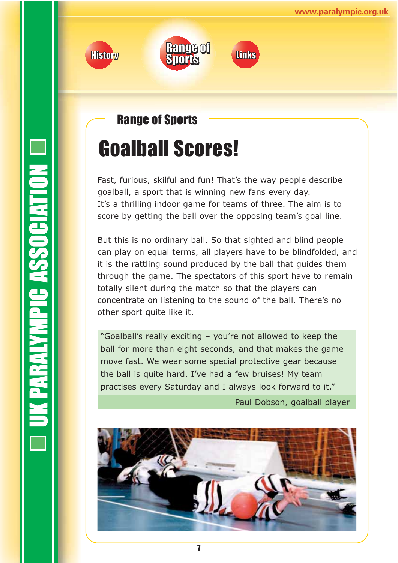





#### Range of Sports

### Goalball Scores!

Fast, furious, skilful and fun! That's the way people describe goalball, a sport that is winning new fans every day. It's a thrilling indoor game for teams of three. The aim is to score by getting the ball over the opposing team's goal line.

But this is no ordinary ball. So that sighted and blind people can play on equal terms, all players have to be blindfolded, and it is the rattling sound produced by the ball that guides them through the game. The spectators of this sport have to remain totally silent during the match so that the players can concentrate on listening to the sound of the ball. There's no other sport quite like it.

"Goalball's really exciting – you're not allowed to keep the ball for more than eight seconds, and that makes the game move fast. We wear some special protective gear because the ball is quite hard. I've had a few bruises! My team practises every Saturday and I always look forward to it."

Paul Dobson, goalball player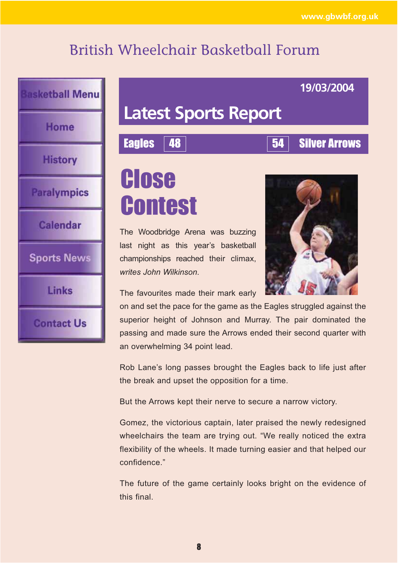**19/03/2004**

#### British Wheelchair Basketball Forum



### **Latest Sports Report**

#### Eagles 48 54 54 Silver Arrows

# **Close Contest**

The Woodbridge Arena was buzzing last night as this year's basketball championships reached their climax, *writes John Wilkinson*.



The favourites made their mark early

on and set the pace for the game as the Eagles struggled against the superior height of Johnson and Murray. The pair dominated the passing and made sure the Arrows ended their second quarter with an overwhelming 34 point lead.

Rob Lane's long passes brought the Eagles back to life just after the break and upset the opposition for a time.

But the Arrows kept their nerve to secure a narrow victory.

Gomez, the victorious captain, later praised the newly redesigned wheelchairs the team are trying out. "We really noticed the extra flexibility of the wheels. It made turning easier and that helped our confidence."

The future of the game certainly looks bright on the evidence of this final.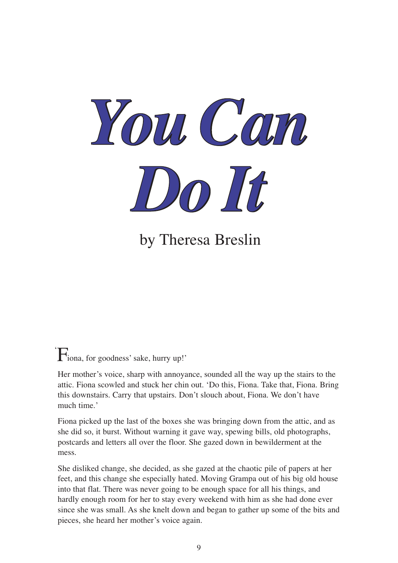

by Theresa Breslin

### $F_{\text{iona, for goodness' sake, hurry up!}}$

Her mother's voice, sharp with annoyance, sounded all the way up the stairs to the attic. Fiona scowled and stuck her chin out. 'Do this, Fiona. Take that, Fiona. Bring this downstairs. Carry that upstairs. Don't slouch about, Fiona. We don't have much time.'

Fiona picked up the last of the boxes she was bringing down from the attic, and as she did so, it burst. Without warning it gave way, spewing bills, old photographs, postcards and letters all over the floor. She gazed down in bewilderment at the mess.

She disliked change, she decided, as she gazed at the chaotic pile of papers at her feet, and this change she especially hated. Moving Grampa out of his big old house into that flat. There was never going to be enough space for all his things, and hardly enough room for her to stay every weekend with him as she had done ever since she was small. As she knelt down and began to gather up some of the bits and pieces, she heard her mother's voice again.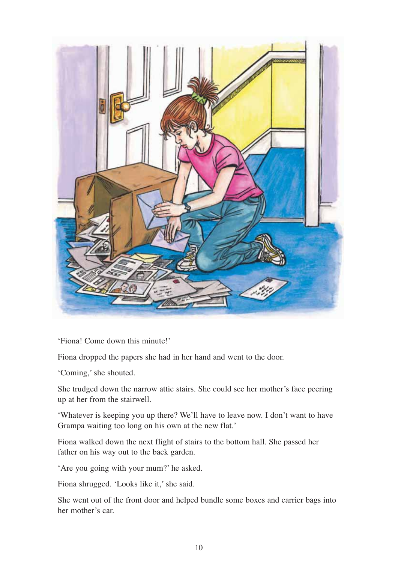

'Fiona! Come down this minute!'

Fiona dropped the papers she had in her hand and went to the door.

'Coming,' she shouted.

She trudged down the narrow attic stairs. She could see her mother's face peering up at her from the stairwell.

'Whatever is keeping you up there? We'll have to leave now. I don't want to have Grampa waiting too long on his own at the new flat.'

Fiona walked down the next flight of stairs to the bottom hall. She passed her father on his way out to the back garden.

'Are you going with your mum?' he asked.

Fiona shrugged. 'Looks like it,' she said.

She went out of the front door and helped bundle some boxes and carrier bags into her mother's car.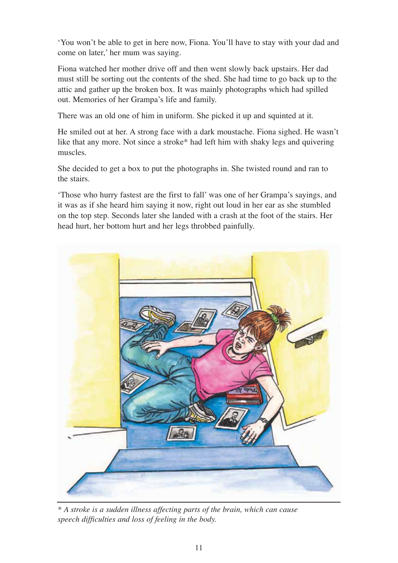'You won't be able to get in here now, Fiona. You'll have to stay with your dad and come on later,' her mum was saying.

Fiona watched her mother drive off and then went slowly back upstairs. Her dad must still be sorting out the contents of the shed. She had time to go back up to the attic and gather up the broken box. It was mainly photographs which had spilled out. Memories of her Grampa's life and family.

There was an old one of him in uniform. She picked it up and squinted at it.

He smiled out at her. A strong face with a dark moustache. Fiona sighed. He wasn't like that any more. Not since a stroke\* had left him with shaky legs and quivering muscles.

She decided to get a box to put the photographs in. She twisted round and ran to the stairs.

'Those who hurry fastest are the first to fall' was one of her Grampa's sayings, and it was as if she heard him saying it now, right out loud in her ear as she stumbled on the top step. Seconds later she landed with a crash at the foot of the stairs. Her head hurt, her bottom hurt and her legs throbbed painfully.



*\* A stroke is a sudden illness affecting parts of the brain, which can cause speech difficulties and loss of feeling in the body.*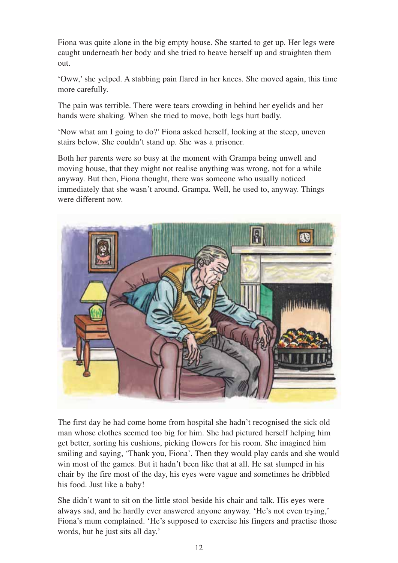Fiona was quite alone in the big empty house. She started to get up. Her legs were caught underneath her body and she tried to heave herself up and straighten them out.

'Oww,' she yelped. A stabbing pain flared in her knees. She moved again, this time more carefully.

The pain was terrible. There were tears crowding in behind her eyelids and her hands were shaking. When she tried to move, both legs hurt badly.

'Now what am I going to do?' Fiona asked herself, looking at the steep, uneven stairs below. She couldn't stand up. She was a prisoner.

Both her parents were so busy at the moment with Grampa being unwell and moving house, that they might not realise anything was wrong, not for a while anyway. But then, Fiona thought, there was someone who usually noticed immediately that she wasn't around. Grampa. Well, he used to, anyway. Things were different now.



The first day he had come home from hospital she hadn't recognised the sick old man whose clothes seemed too big for him. She had pictured herself helping him get better, sorting his cushions, picking flowers for his room. She imagined him smiling and saying, 'Thank you, Fiona'. Then they would play cards and she would win most of the games. But it hadn't been like that at all. He sat slumped in his chair by the fire most of the day, his eyes were vague and sometimes he dribbled his food. Just like a baby!

She didn't want to sit on the little stool beside his chair and talk. His eyes were always sad, and he hardly ever answered anyone anyway. 'He's not even trying,' Fiona's mum complained. 'He's supposed to exercise his fingers and practise those words, but he just sits all day.'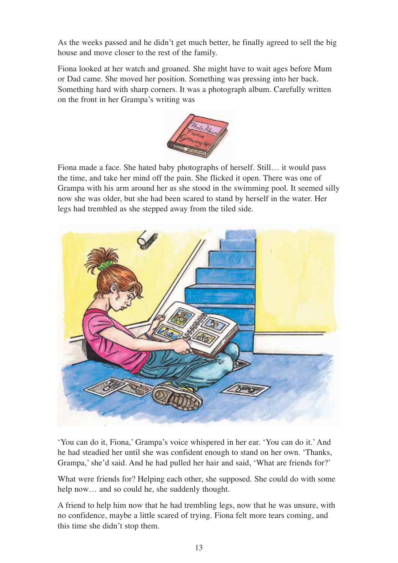As the weeks passed and he didn't get much better, he finally agreed to sell the big house and move closer to the rest of the family.

Fiona looked at her watch and groaned. She might have to wait ages before Mum or Dad came. She moved her position. Something was pressing into her back. Something hard with sharp corners. It was a photograph album. Carefully written on the front in her Grampa's writing was



Fiona made a face. She hated baby photographs of herself. Still… it would pass the time, and take her mind off the pain. She flicked it open. There was one of Grampa with his arm around her as she stood in the swimming pool. It seemed silly now she was older, but she had been scared to stand by herself in the water. Her legs had trembled as she stepped away from the tiled side.



'You can do it, Fiona,' Grampa's voice whispered in her ear. 'You can do it.' And he had steadied her until she was confident enough to stand on her own. 'Thanks, Grampa,' she'd said. And he had pulled her hair and said, 'What are friends for?'

What were friends for? Helping each other, she supposed. She could do with some help now… and so could he, she suddenly thought.

A friend to help him now that he had trembling legs, now that he was unsure, with no confidence, maybe a little scared of trying. Fiona felt more tears coming, and this time she didn't stop them.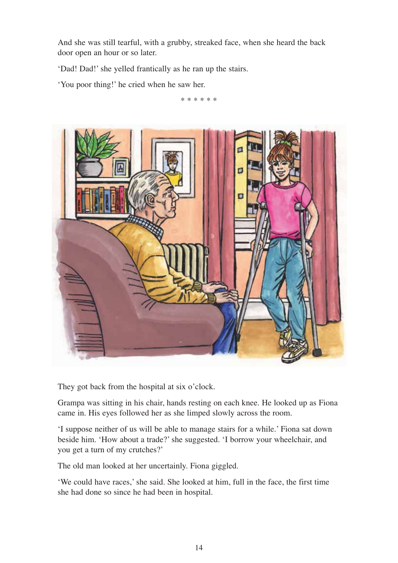And she was still tearful, with a grubby, streaked face, when she heard the back door open an hour or so later.

'Dad! Dad!' she yelled frantically as he ran up the stairs.

'You poor thing!' he cried when he saw her.

\* \* \* \* \* \*



They got back from the hospital at six o'clock.

Grampa was sitting in his chair, hands resting on each knee. He looked up as Fiona came in. His eyes followed her as she limped slowly across the room.

'I suppose neither of us will be able to manage stairs for a while.' Fiona sat down beside him. 'How about a trade?' she suggested. 'I borrow your wheelchair, and you get a turn of my crutches?'

The old man looked at her uncertainly. Fiona giggled.

'We could have races,' she said. She looked at him, full in the face, the first time she had done so since he had been in hospital.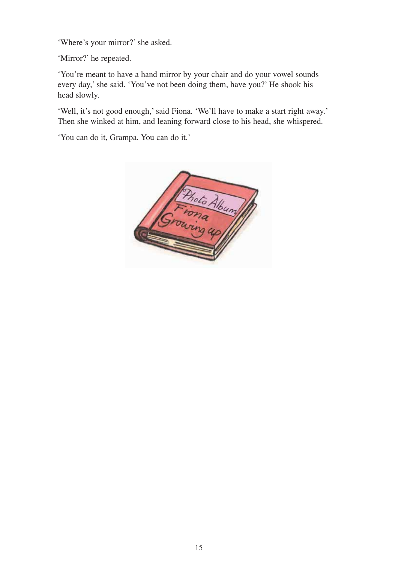'Where's your mirror?' she asked.

'Mirror?' he repeated.

'You're meant to have a hand mirror by your chair and do your vowel sounds every day,' she said. 'You've not been doing them, have you?' He shook his head slowly.

'Well, it's not good enough,' said Fiona. 'We'll have to make a start right away.' Then she winked at him, and leaning forward close to his head, she whispered.

'You can do it, Grampa. You can do it.'